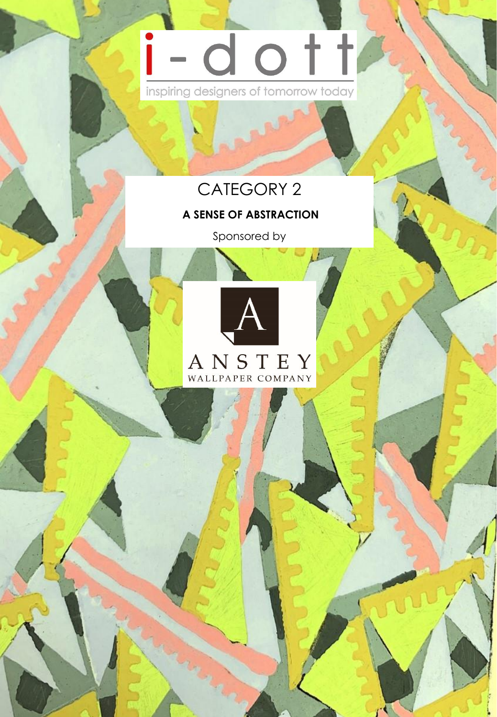# dott inspiring designers of tomorrow today

# CATEGORY 2

## **A SENSE OF ABSTRACTION**

Sponsored by



1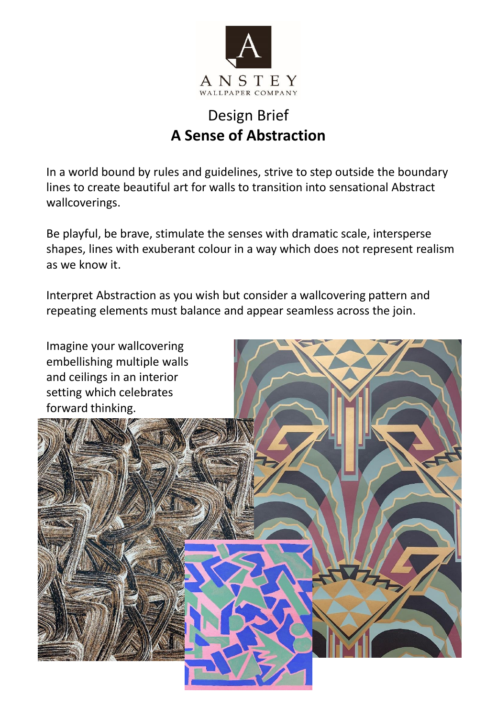

## Design Brief **A Sense of Abstraction**

In a world bound by rules and guidelines, strive to step outside the boundary lines to create beautiful art for walls to transition into sensational Abstract wallcoverings.

Be playful, be brave, stimulate the senses with dramatic scale, intersperse shapes, lines with exuberant colour in a way which does not represent realism as we know it.

Interpret Abstraction as you wish but consider a wallcovering pattern and repeating elements must balance and appear seamless across the join.